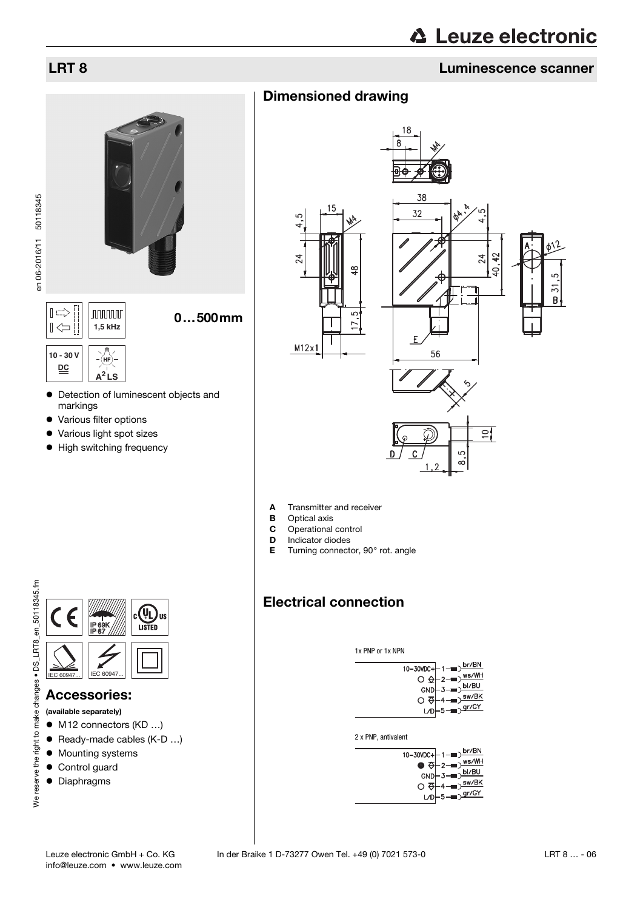en 06-2016/11 50118345

en 06-2016/11 50118345

# **△ Leuze electronic**

## LRT 8 Luminescence scanner

### Dimensioned drawing



- Various filter options
- Various light spot sizes
- High switching frequency



- **A** Transmitter and receiver<br>**B** Optical axis
- **B** Optical axis<br>**C** Operational
- **C** Operational control<br>**D** Indicator diodes
- **D** Indicator diodes<br>**E** Turning connecte
	- Turning connector, 90° rot. angle

### Electrical connection

1x PNP or 1x NPN

| 10-30VDC+ 1-D $\frac{\text{br/BN}}{\text{O} \bigoplus -2 \longrightarrow \frac{\text{ws/WH}}{\text{ws/WH}}}$ |
|--------------------------------------------------------------------------------------------------------------|
| $GND \rightarrow 3 \rightarrow bI/BU$                                                                        |
| $\circ$ $\overline{\diamond}$ +4 = $\overline{\circ}$ sw/BK                                                  |
| $LD - 5 - 9r/GY$                                                                                             |
|                                                                                                              |

2 x PNP, antivalent

|     | $10-30VDC + 1$ - $D \frac{br/BN}{l}$<br>$\bullet$ $\overline{\Theta}$ -2- $\overline{\bullet}$ $\overline{\bullet}$ $\overline{\bullet}$ $\overline{\bullet}$ $\overline{\bullet}$<br>$GND \rightarrow 3 \rightarrow \overline{b1/BU}$<br>$\circ$ $\circ$ +4 = $\frac{1}{2}$ sw/BK |
|-----|------------------------------------------------------------------------------------------------------------------------------------------------------------------------------------------------------------------------------------------------------------------------------------|
| L/D | $L_5 = \sqrt{gr/GY}$                                                                                                                                                                                                                                                               |



### Accessories:

(available separately)

- M12 connectors (KD ...)
- Ready-made cables (K-D ...)
- $\bullet$  Mounting systems
- Control guard
- Diaphragms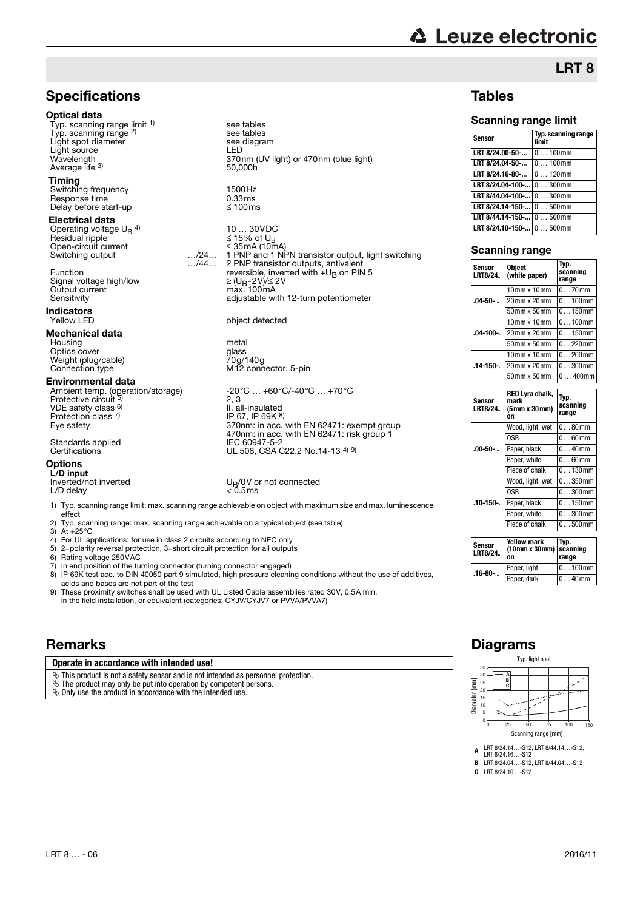# **△ Leuze electronic**

## LRT 8

### Tables

### Scanning range limit

| Sensor                                                        | Typ. scanning range<br>limit |
|---------------------------------------------------------------|------------------------------|
| LRT 8/24.00-50-                                               | $0100$ mm                    |
| LRT 8/24.04-50-                                               | $0100$ mm                    |
| LRT 8/24.16-80-                                               | $0120$ mm                    |
| <b>LRT 8/24.04-100-</b> $\vert$ 0  300 mm                     |                              |
| LRT 8/44.04-100- 0  300mm                                     |                              |
| <b>LRT 8/24.14-150-</b> $\vert 0 \ldots 500 \text{ mm} \vert$ |                              |
| <b>LRT 8/44.14-150-</b> $\vert 0 \ldots 500 \text{ mm} \vert$ |                              |
| LRT 8/24.10-150- 0  500mm                                     |                              |

#### Scanning range

| Sensor<br>LRT8/24 | Object<br>(white paper) | Typ.<br>scanning<br>range |  |  |  |  |
|-------------------|-------------------------|---------------------------|--|--|--|--|
|                   | $10$ mm x $10$ mm       | $070$ mm                  |  |  |  |  |
| $.04 - 50 - $     | 20mm x 20mm             | $0100$ mm                 |  |  |  |  |
|                   | $50$ mm $\times 50$ mm  | $0150$ mm                 |  |  |  |  |
| $.04 - 100 - $    | $10$ mm x $10$ mm       | $0100$ mm                 |  |  |  |  |
|                   | 20mm x 20mm             | $0150$ mm                 |  |  |  |  |
|                   | 50mm x 50mm             | $0220$ mm                 |  |  |  |  |
|                   | $10$ mm x $10$ mm       | $0200$ mm                 |  |  |  |  |
| $.14 - 150 - $    | 20mm x 20mm             | $0300$ mm                 |  |  |  |  |
|                   | 50mm x 50mm             | $0400$ mm                 |  |  |  |  |
|                   |                         |                           |  |  |  |  |
|                   | <b>RED Lyra chalk.</b>  |                           |  |  |  |  |

| Sensor<br>LRT8/24 | RED Lyra chalk,<br>mark<br>(5mm x 30mm) | Typ.<br>scanning<br>range |
|-------------------|-----------------------------------------|---------------------------|
|                   | Wood, light, wet                        | $080$ mm                  |
| $.00 - 50 - $     | 0SB                                     | $060$ mm                  |
|                   | Paper, black                            | $040$ mm                  |
|                   | Paper, white                            | $060$ mm                  |
|                   | Piece of chalk                          | $0130$ mm                 |
|                   | Wood, light, wet                        | $0350$ mm                 |
| .10-150-          | 0SB                                     | $0300$ mm                 |
|                   | Paper, black                            | $0150$ mm                 |
|                   | Paper, white                            | $0300$ mm                 |
|                   | Piece of chalk                          | $0500$ mm                 |

| <b>Sensor</b><br>LRT8/24 | <b>Yellow mark</b><br>$(10 \text{mm} \times 30 \text{mm})$ scanning<br>on | Tvp.<br>range |  |  |  |  |
|--------------------------|---------------------------------------------------------------------------|---------------|--|--|--|--|
| $.16 - 80 - $            | Paper, light                                                              | $0100$ mm     |  |  |  |  |
|                          | Paper, dark                                                               | l 040mm       |  |  |  |  |

### Diagrams

Typ. light spot 35 30 **A** Diameter [mm]  $rac{1}{25}$ Diameter [mm] **B C** 20  $15$ 10 5 0 0 25 50 75 100 150 Scanning range [mm]

- **<sup>A</sup>** LRT 8/24.14…-S12, LRT 8/44.14…-S12, LRT 8/24.16…-S12
- **B** LRT 8/24.04…-S12, LRT 8/44.04…-S12

**C** LRT 8/24.10…-S12

### **Specifications**

#### Optical data

Typ. scanning range limit 1) Typ. scanning range 2) Light spot diameter Light source Light source<br>Wavelength<br>Average life <sup>3)</sup>

#### **Timing**

Switching frequency 1500Hz<br>
Response time 10.33ms Response time  $0.33 \text{ ms}$ <br>Delay before start-up  $\leq 100 \text{ ms}$ Delay before start-up

#### Electrical data

Operating voltage  $U_B$ <sup>4)</sup><br>Besidual ripple 10 … 30VDC Residual ripple ≤ 15% of UB Open-circuit current<br>
Switching output 350 mars 24... Switching output

Signal voltage high/low<br>Output current Signal voltage high/low  $\geq (U_B - 2V)/\leq 2V$ <br>Output current max. 100mA<br>Sensitivity adjustable with

### **Indicators**

#### Mechanical data

Housing metal Optics cover glass Notics<br>
Christ cover<br>
Weight (plug/cable)<br>
Connection type<br>
M12 connection type<br>
M12 conn

#### Environmental data

VDE safety class <sup>6)</sup> Protection class 7)<br>Eve safety

Standards applied<br>Certifications **IEC 60947-5-2**<br>UL 508, CSA C

#### **Options**

L/D input<br>Inverted/not inverted  $L/D$  delay

1) Typ. scanning range limit: max. scanning range achievable on object with maximum size and max. luminescence effect

- 2) Typ. scanning range: max. scanning range achievable on a typical object (see table)
- 3) At +25°C
- 4) For UL applications: for use in class 2 circuits according to NEC only<br>5) 2=polarity reversal protection, 3=short circuit protection for all output
- 5) 2=polarity reversal protection, 3=short circuit protection for all outputs<br>6) Rating voltage 250VAC
- 6) Rating voltage 250 VAC<br>7) In end position of the tur

In end position of the turning connector (turning connector engaged)

8) IP 69K test acc. to DIN 40050 part 9 simulated, high pressure cleaning conditions without the use of additives, acids and bases are not part of the test

9) These proximity switches shall be used with UL Listed Cable assemblies rated 30V, 0.5A min, in the field installation, or equivalent (categories: CYJV/CYJV7 or PVVA/PVVA7)

### **Remarks**

### **Operate in accordance with intended use!**

 $\ddot{\phi}$  This product is not a safety sensor and is not intended as personnel protection.

- $\&$  The product may only be put into operation by competent persons.
- $\ddot{\phi}$  Only use the product in accordance with the intended use.

…/44… 1 PNP and 1 NPN transistor output, light switching 2 PNP transistor outputs, antivalent Function **Function** reversible, inverted with  $+U_B$  on PIN 5 adjustable with 12-turn potentiometer

370nm (UV light) or 470nm (blue light)

object detected

see tables

50,000h

see tables<br>see diagram<br>LED

M12 connector, 5-pin

Ambient temp. (operation/storage) -20°C … +60°C/-40°C … +70°C<br>Protective circuit <sup>5)</sup> 2, 3 2, 3 II, all-insulated IP 67, IP 69K 8) Eye safety 370nm: in acc. with EN 62471: exempt group 470nm: in acc. with EN 62471: risk group 1 UL 508, CSA C22.2 No.14-13 4) 9)

 $U_B/0V$  or not connected<br>< 0.5ms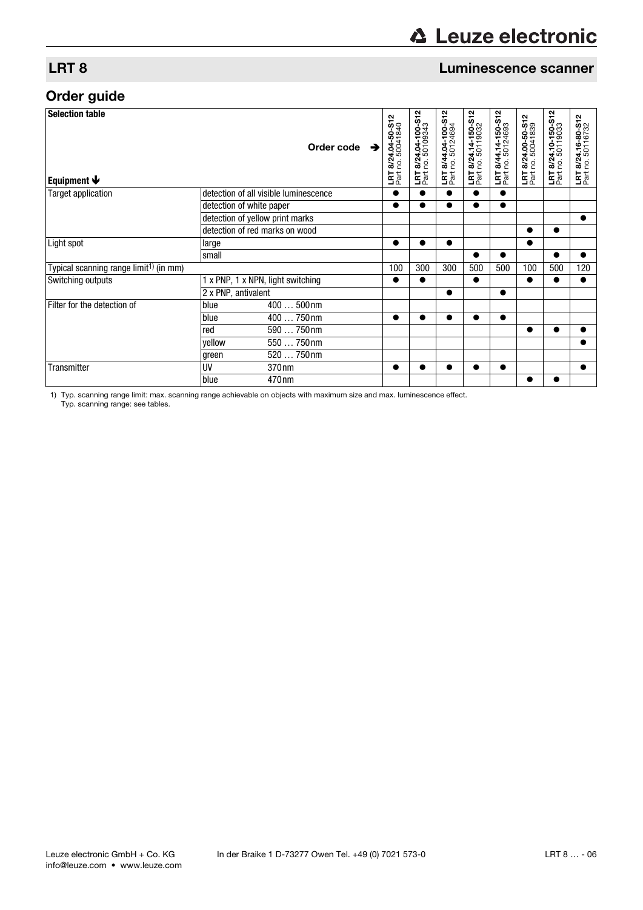## **∆ Leuze electronic**

### LRT 8 Luminescence scanner

## Order guide

| <b>Selection table</b><br>Equipment $\blacklozenge$ |                                 | Order code $\rightarrow$              | 24.04-50-S12<br>50041840<br>LRT 8/24 | 24.04-100-S12<br><u>ର୍ଷ ତ୍ର</u><br>동<br>전 | 8/44.04-100-S12<br>no. 50124694<br>LRT<br>Part | LRT 8/24.14-150-S12<br>Part no. 50119032 | LRT 8/44.14-150-S12<br>Part no. 50124693 | LRT 8/24.00-50-S12<br>Part no. 50041839 | 4.10-150-S12<br>50119033<br><u>ରୁ</u><br>ଅ<br>홃 | LRT 8/24.16-80-S12<br>Part no. 50116732 |
|-----------------------------------------------------|---------------------------------|---------------------------------------|--------------------------------------|-------------------------------------------|------------------------------------------------|------------------------------------------|------------------------------------------|-----------------------------------------|-------------------------------------------------|-----------------------------------------|
| <b>Target application</b>                           |                                 | detection of all visible luminescence | $\bullet$                            |                                           | $\bullet$                                      | $\bullet$                                | $\bullet$                                |                                         |                                                 |                                         |
|                                                     | detection of white paper        |                                       | $\bullet$                            |                                           |                                                | $\bullet$                                | $\bullet$                                |                                         |                                                 |                                         |
|                                                     | detection of yellow print marks |                                       |                                      |                                           |                                                |                                          |                                          |                                         |                                                 | $\bullet$                               |
|                                                     | detection of red marks on wood  |                                       |                                      |                                           |                                                |                                          |                                          |                                         | $\bullet$                                       |                                         |
| Light spot                                          | large                           |                                       | ●                                    |                                           |                                                |                                          |                                          |                                         |                                                 |                                         |
|                                                     | small                           |                                       |                                      |                                           |                                                | $\bullet$                                | $\bullet$                                |                                         | $\bullet$                                       |                                         |
| Typical scanning range limit <sup>1)</sup> (in mm)  |                                 |                                       | 100                                  | 300                                       | 300                                            | 500                                      | 500                                      | 100                                     | 500                                             | 120                                     |
| Switching outputs                                   |                                 | 1 x PNP, 1 x NPN, light switching     |                                      |                                           |                                                | $\bullet$                                |                                          | ●                                       | ●                                               |                                         |
|                                                     | 2 x PNP, antivalent             |                                       |                                      |                                           | $\bullet$                                      |                                          | $\bullet$                                |                                         |                                                 |                                         |
| Filter for the detection of                         | blue                            | 400  500nm                            |                                      |                                           |                                                |                                          |                                          |                                         |                                                 |                                         |
|                                                     | blue                            | 400  750nm                            | $\bullet$                            | ●                                         |                                                | $\bullet$                                | $\bullet$                                |                                         |                                                 |                                         |
|                                                     | red                             | 590  750nm                            |                                      |                                           |                                                |                                          |                                          | $\bullet$                               | $\bullet$                                       |                                         |
|                                                     | yellow                          | 550  750nm                            |                                      |                                           |                                                |                                          |                                          |                                         |                                                 |                                         |
|                                                     | green                           | 520  750nm                            |                                      |                                           |                                                |                                          |                                          |                                         |                                                 |                                         |
| Transmitter                                         | UV                              | 370nm                                 | $\bullet$                            | $\bullet$                                 | $\bullet$                                      | $\bullet$                                | $\bullet$                                |                                         |                                                 | $\bullet$                               |
|                                                     | blue                            | 470 <sub>nm</sub>                     |                                      |                                           |                                                |                                          |                                          |                                         |                                                 |                                         |

1) Typ. scanning range limit: max. scanning range achievable on objects with maximum size and max. luminescence effect. Typ. scanning range: see tables.